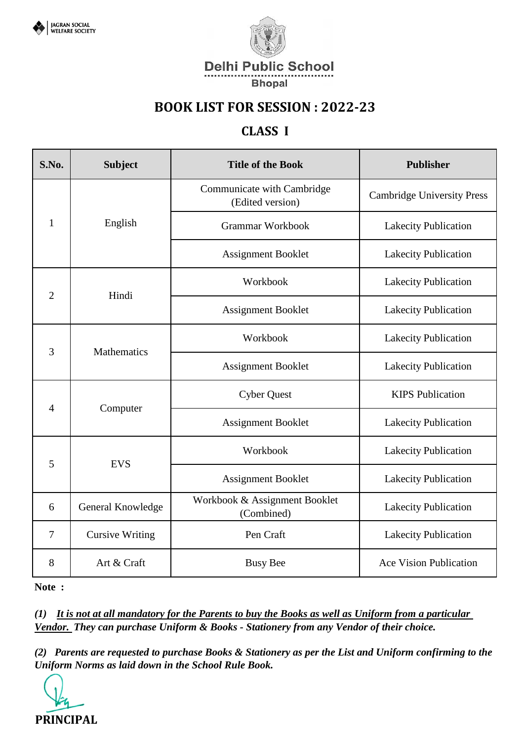



### **CLASS I**

| S.No.          | <b>Subject</b>         | <b>Title of the Book</b>                       | <b>Publisher</b>                  |
|----------------|------------------------|------------------------------------------------|-----------------------------------|
|                |                        | Communicate with Cambridge<br>(Edited version) | <b>Cambridge University Press</b> |
| 1              | English                | <b>Grammar Workbook</b>                        | <b>Lakecity Publication</b>       |
|                |                        | <b>Assignment Booklet</b>                      | Lakecity Publication              |
| $\overline{2}$ | Hindi                  | Workbook                                       | Lakecity Publication              |
|                |                        | <b>Assignment Booklet</b>                      | Lakecity Publication              |
|                | Mathematics            | Workbook                                       | Lakecity Publication              |
| 3              |                        | <b>Assignment Booklet</b>                      | Lakecity Publication              |
|                | Computer               | <b>Cyber Quest</b>                             | <b>KIPS Publication</b>           |
| $\overline{4}$ |                        | <b>Assignment Booklet</b>                      | Lakecity Publication              |
| 5              | <b>EVS</b>             | Workbook                                       | Lakecity Publication              |
|                |                        | <b>Assignment Booklet</b>                      | <b>Lakecity Publication</b>       |
| 6              | General Knowledge      | Workbook & Assignment Booklet<br>(Combined)    | <b>Lakecity Publication</b>       |
| $\overline{7}$ | <b>Cursive Writing</b> | Pen Craft                                      | Lakecity Publication              |
| 8              | Art & Craft            | <b>Busy Bee</b>                                | <b>Ace Vision Publication</b>     |

**Note :** 

*(1) It is not at all mandatory for the Parents to buy the Books as well as Uniform from a particular Vendor. They can purchase Uniform & Books - Stationery from any Vendor of their choice.*

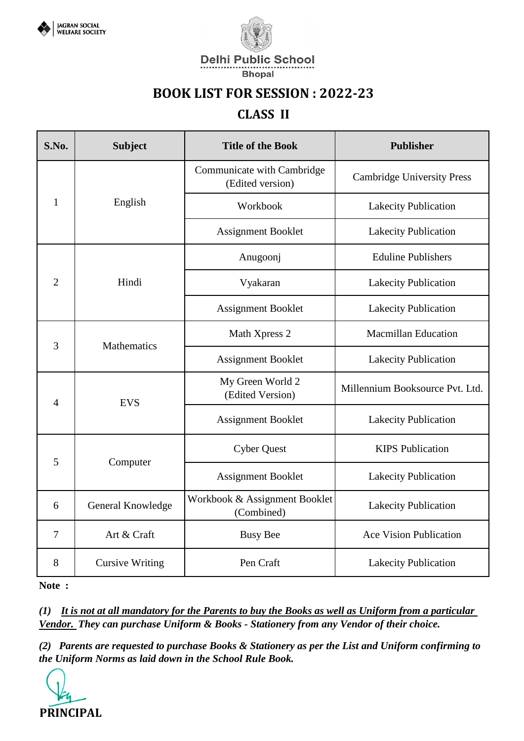



**Delhi Public School** 

#### **Bhopal**

### **BOOK LIST FOR SESSION : 2022-23**

### **CLASS II**

| S.No.          | <b>Subject</b>         | <b>Title of the Book</b>                       | <b>Publisher</b>                  |
|----------------|------------------------|------------------------------------------------|-----------------------------------|
|                |                        | Communicate with Cambridge<br>(Edited version) | <b>Cambridge University Press</b> |
| $\mathbf{1}$   | English                | Workbook                                       | <b>Lakecity Publication</b>       |
|                |                        | <b>Assignment Booklet</b>                      | Lakecity Publication              |
|                |                        | Anugoonj                                       | <b>Eduline Publishers</b>         |
| $\overline{2}$ | Hindi                  | Vyakaran                                       | Lakecity Publication              |
|                |                        | <b>Assignment Booklet</b>                      | Lakecity Publication              |
| 3              | Mathematics            | Math Xpress 2                                  | <b>Macmillan Education</b>        |
|                |                        | <b>Assignment Booklet</b>                      | <b>Lakecity Publication</b>       |
| $\overline{4}$ | <b>EVS</b>             | My Green World 2<br>(Edited Version)           | Millennium Booksource Pvt. Ltd.   |
|                |                        | <b>Assignment Booklet</b>                      | <b>Lakecity Publication</b>       |
| 5              | Computer               | <b>Cyber Quest</b>                             | <b>KIPS Publication</b>           |
|                |                        | <b>Assignment Booklet</b>                      | <b>Lakecity Publication</b>       |
| 6              | General Knowledge      | Workbook & Assignment Booklet<br>(Combined)    | <b>Lakecity Publication</b>       |
| $\overline{7}$ | Art & Craft            | <b>Busy Bee</b>                                | <b>Ace Vision Publication</b>     |
| 8              | <b>Cursive Writing</b> | Pen Craft                                      | <b>Lakecity Publication</b>       |

**Note :** 

*(1) It is not at all mandatory for the Parents to buy the Books as well as Uniform from a particular Vendor. They can purchase Uniform & Books - Stationery from any Vendor of their choice.*

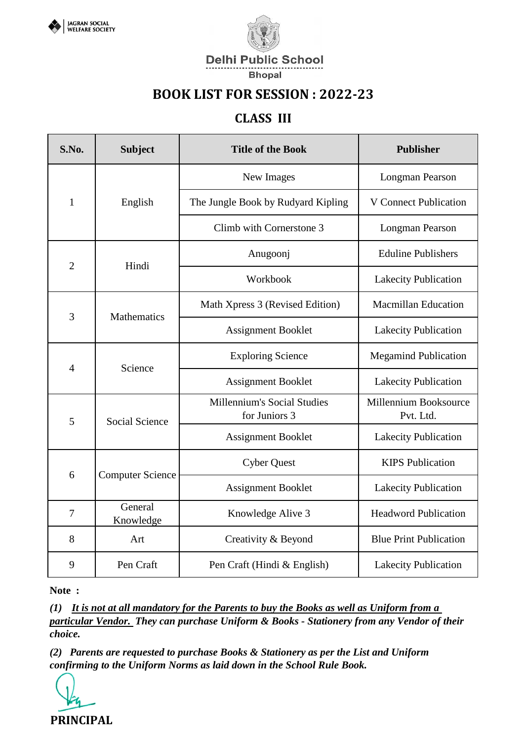



#### **CLASS III**

| S.No.          | <b>Subject</b>          | <b>Title of the Book</b>                            | <b>Publisher</b>                   |
|----------------|-------------------------|-----------------------------------------------------|------------------------------------|
|                |                         | New Images                                          | <b>Longman Pearson</b>             |
| $\mathbf{1}$   | English                 | The Jungle Book by Rudyard Kipling                  | <b>V</b> Connect Publication       |
|                |                         | Climb with Cornerstone 3                            | Longman Pearson                    |
| $\overline{2}$ | Hindi                   | Anugoonj                                            | <b>Eduline Publishers</b>          |
|                |                         | Workbook                                            | <b>Lakecity Publication</b>        |
| 3              | Mathematics             | Math Xpress 3 (Revised Edition)                     | <b>Macmillan Education</b>         |
|                |                         | <b>Assignment Booklet</b>                           | <b>Lakecity Publication</b>        |
|                | Science                 | <b>Exploring Science</b>                            | <b>Megamind Publication</b>        |
| $\overline{4}$ |                         | <b>Assignment Booklet</b>                           | Lakecity Publication               |
| 5              | <b>Social Science</b>   | <b>Millennium's Social Studies</b><br>for Juniors 3 | Millennium Booksource<br>Pvt. Ltd. |
|                |                         | <b>Assignment Booklet</b>                           | <b>Lakecity Publication</b>        |
|                | <b>Computer Science</b> | <b>Cyber Quest</b>                                  | <b>KIPS</b> Publication            |
| 6              |                         | <b>Assignment Booklet</b>                           | <b>Lakecity Publication</b>        |
| $\overline{7}$ | General<br>Knowledge    | Knowledge Alive 3                                   | <b>Headword Publication</b>        |
| 8              | Art                     | Creativity & Beyond                                 | <b>Blue Print Publication</b>      |
| 9              | Pen Craft               | Pen Craft (Hindi & English)                         | <b>Lakecity Publication</b>        |

**Note :** 

*(1) It is not at all mandatory for the Parents to buy the Books as well as Uniform from a particular Vendor. They can purchase Uniform & Books - Stationery from any Vendor of their choice.*

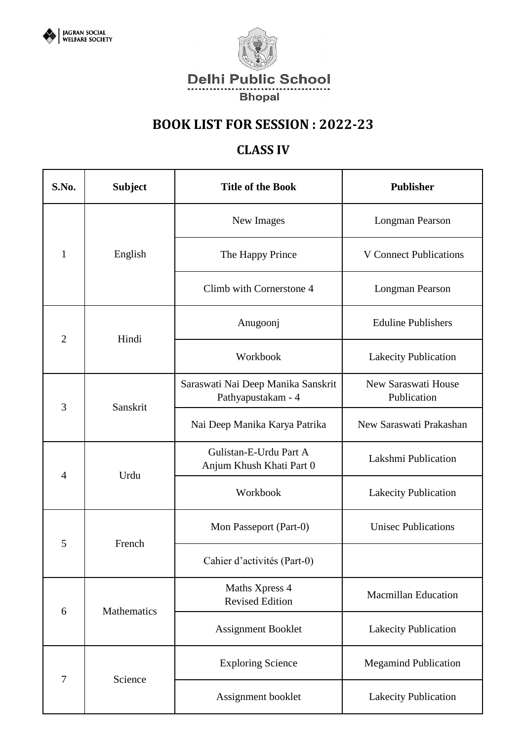



### **CLASS IV**

| S.No.          | <b>Subject</b> | <b>Title of the Book</b>                                 | <b>Publisher</b>                   |
|----------------|----------------|----------------------------------------------------------|------------------------------------|
|                |                | New Images                                               | Longman Pearson                    |
| $\mathbf{1}$   | English        | The Happy Prince                                         | <b>V</b> Connect Publications      |
|                |                | Climb with Cornerstone 4                                 | Longman Pearson                    |
| $\overline{2}$ | Hindi          | Anugoonj                                                 | <b>Eduline Publishers</b>          |
|                |                | Workbook                                                 | <b>Lakecity Publication</b>        |
|                | Sanskrit       | Saraswati Nai Deep Manika Sanskrit<br>Pathyapustakam - 4 | New Saraswati House<br>Publication |
| 3              |                | Nai Deep Manika Karya Patrika                            | New Saraswati Prakashan            |
| 4              | Urdu           | Gulistan-E-Urdu Part A<br>Anjum Khush Khati Part 0       | Lakshmi Publication                |
|                |                | Workbook                                                 | <b>Lakecity Publication</b>        |
| 5              | French         | Mon Passeport (Part-0)                                   | <b>Unisec Publications</b>         |
|                |                | Cahier d'activités (Part-0)                              |                                    |
| 6              | Mathematics    | Maths Xpress 4<br><b>Revised Edition</b>                 | <b>Macmillan Education</b>         |
|                |                | Assignment Booklet                                       | Lakecity Publication               |
| $\overline{7}$ |                | <b>Exploring Science</b>                                 | <b>Megamind Publication</b>        |
|                | Science        | Assignment booklet                                       | <b>Lakecity Publication</b>        |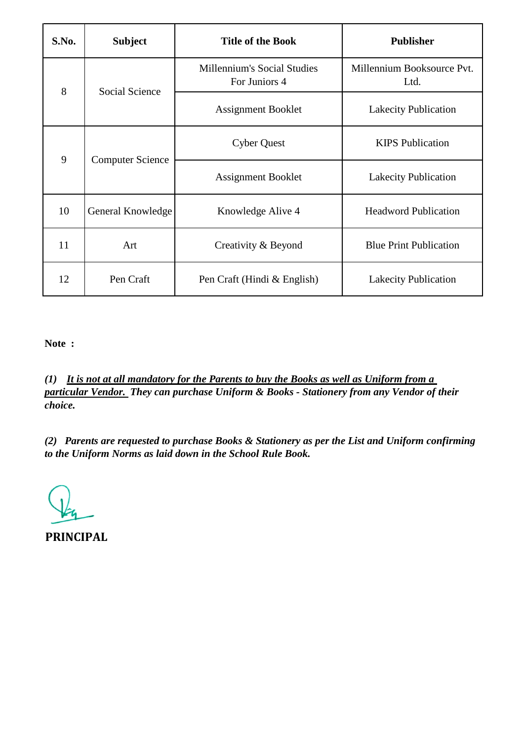| S.No. | <b>Subject</b>          | <b>Title of the Book</b>                            | <b>Publisher</b>                   |
|-------|-------------------------|-----------------------------------------------------|------------------------------------|
| 8     | Social Science          | <b>Millennium's Social Studies</b><br>For Juniors 4 | Millennium Booksource Pvt.<br>Ltd. |
|       |                         | <b>Assignment Booklet</b>                           | <b>Lakecity Publication</b>        |
| 9     | <b>Computer Science</b> | <b>Cyber Quest</b>                                  | <b>KIPS</b> Publication            |
|       |                         | <b>Assignment Booklet</b>                           | <b>Lakecity Publication</b>        |
| 10    | General Knowledge       | Knowledge Alive 4                                   | <b>Headword Publication</b>        |
| 11    | Art                     | Creativity & Beyond                                 | <b>Blue Print Publication</b>      |
| 12    | Pen Craft               | Pen Craft (Hindi & English)                         | <b>Lakecity Publication</b>        |

*(1) It is not at all mandatory for the Parents to buy the Books as well as Uniform from a particular Vendor. They can purchase Uniform & Books - Stationery from any Vendor of their choice.*

*(2) Parents are requested to purchase Books & Stationery as per the List and Uniform confirming to the Uniform Norms as laid down in the School Rule Book.*

**PRINCIPAL**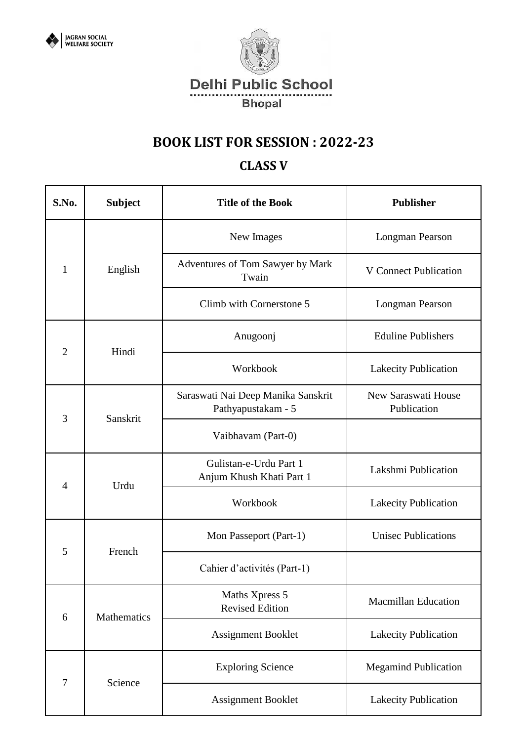



### **CLASS V**

| S.No.          | <b>Subject</b> | <b>Title of the Book</b>                                 | <b>Publisher</b>                   |
|----------------|----------------|----------------------------------------------------------|------------------------------------|
|                |                | New Images                                               | Longman Pearson                    |
| $\mathbf{1}$   | English        | Adventures of Tom Sawyer by Mark<br>Twain                | <b>V</b> Connect Publication       |
|                |                | Climb with Cornerstone 5                                 | Longman Pearson                    |
| $\overline{2}$ | Hindi          | Anugoonj                                                 | <b>Eduline Publishers</b>          |
|                |                | Workbook                                                 | Lakecity Publication               |
| 3              | Sanskrit       | Saraswati Nai Deep Manika Sanskrit<br>Pathyapustakam - 5 | New Saraswati House<br>Publication |
|                |                | Vaibhavam (Part-0)                                       |                                    |
| $\overline{4}$ | Urdu           | Gulistan-e-Urdu Part 1<br>Anjum Khush Khati Part 1       | Lakshmi Publication                |
|                |                | Workbook                                                 | Lakecity Publication               |
|                | French         | Mon Passeport (Part-1)                                   | <b>Unisec Publications</b>         |
| 5              |                | Cahier d'activités (Part-1)                              |                                    |
| 6              | Mathematics    | Maths Xpress 5<br><b>Revised Edition</b>                 | <b>Macmillan Education</b>         |
|                |                | <b>Assignment Booklet</b>                                | <b>Lakecity Publication</b>        |
|                |                | <b>Exploring Science</b>                                 | <b>Megamind Publication</b>        |
| $\tau$         | Science        | <b>Assignment Booklet</b>                                | Lakecity Publication               |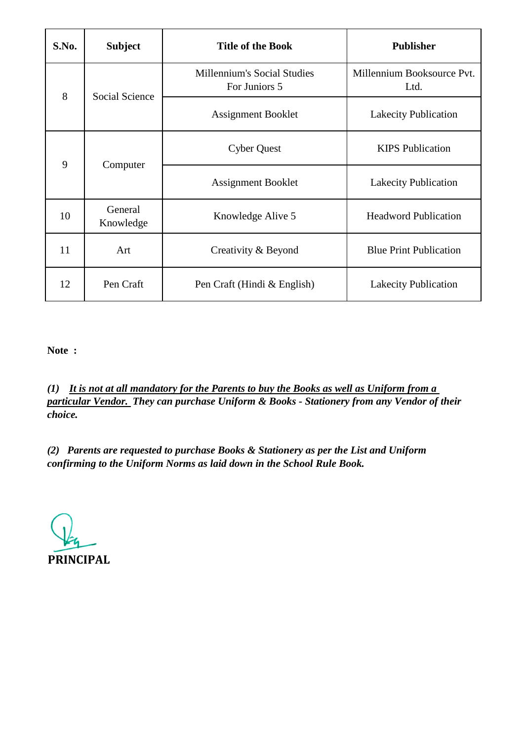| S.No. | <b>Subject</b>        | <b>Title of the Book</b>                            | <b>Publisher</b>                   |
|-------|-----------------------|-----------------------------------------------------|------------------------------------|
| 8     | <b>Social Science</b> | <b>Millennium's Social Studies</b><br>For Juniors 5 | Millennium Booksource Pvt.<br>Ltd. |
|       |                       | Assignment Booklet                                  | <b>Lakecity Publication</b>        |
| 9     | Computer              | <b>Cyber Quest</b>                                  | <b>KIPS</b> Publication            |
|       |                       | <b>Assignment Booklet</b>                           | <b>Lakecity Publication</b>        |
| 10    | General<br>Knowledge  | Knowledge Alive 5                                   | <b>Headword Publication</b>        |
| 11    | Art                   | Creativity & Beyond                                 | <b>Blue Print Publication</b>      |
| 12    | Pen Craft             | Pen Craft (Hindi & English)                         | <b>Lakecity Publication</b>        |

*(1) It is not at all mandatory for the Parents to buy the Books as well as Uniform from a particular Vendor. They can purchase Uniform & Books - Stationery from any Vendor of their choice.*

**PRINCIPAL**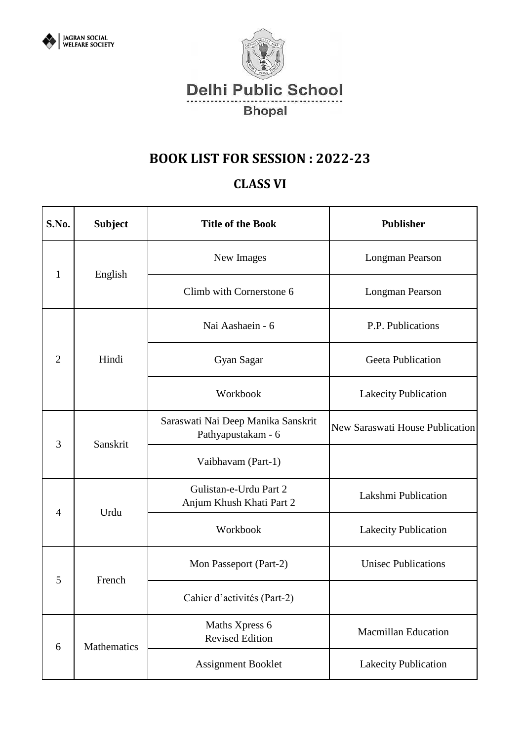



### **CLASS VI**

| S.No.          | <b>Subject</b> | <b>Title of the Book</b>                                 | <b>Publisher</b>                |
|----------------|----------------|----------------------------------------------------------|---------------------------------|
| $\mathbf{1}$   |                | New Images                                               | Longman Pearson                 |
|                | English        | Climb with Cornerstone 6                                 | Longman Pearson                 |
|                |                | Nai Aashaein - 6                                         | P.P. Publications               |
| $\overline{2}$ | Hindi          | Gyan Sagar                                               | <b>Geeta Publication</b>        |
|                |                | Workbook                                                 | <b>Lakecity Publication</b>     |
| 3              | Sanskrit       | Saraswati Nai Deep Manika Sanskrit<br>Pathyapustakam - 6 | New Saraswati House Publication |
|                |                | Vaibhavam (Part-1)                                       |                                 |
| $\overline{4}$ | Urdu           | Gulistan-e-Urdu Part 2<br>Anjum Khush Khati Part 2       | Lakshmi Publication             |
|                |                | Workbook                                                 | <b>Lakecity Publication</b>     |
| 5              | French         | Mon Passeport (Part-2)                                   | <b>Unisec Publications</b>      |
|                |                | Cahier d'activités (Part-2)                              |                                 |
| 6              | Mathematics    | Maths Xpress 6<br><b>Revised Edition</b>                 | <b>Macmillan Education</b>      |
|                |                | <b>Assignment Booklet</b>                                | <b>Lakecity Publication</b>     |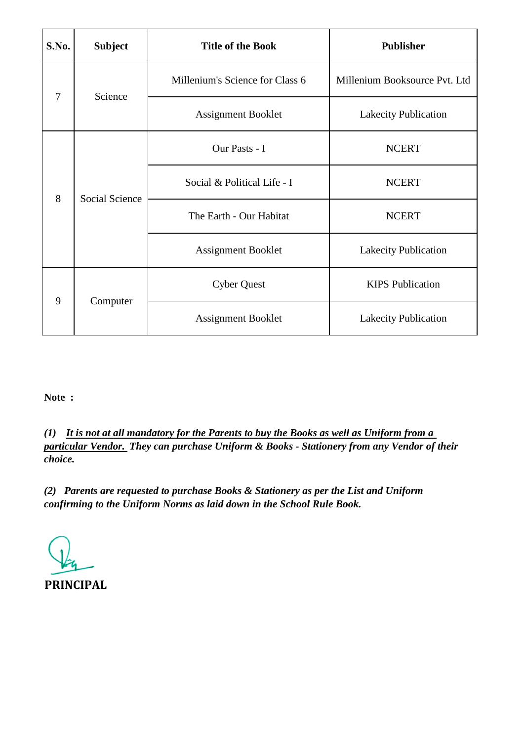| S.No.          | <b>Subject</b>        | <b>Title of the Book</b>        | <b>Publisher</b>              |
|----------------|-----------------------|---------------------------------|-------------------------------|
| $\overline{7}$ | Science               | Millenium's Science for Class 6 | Millenium Booksource Pvt. Ltd |
|                |                       | <b>Assignment Booklet</b>       | Lakecity Publication          |
| 8              | <b>Social Science</b> | Our Pasts - I                   | <b>NCERT</b>                  |
|                |                       | Social & Political Life - I     | <b>NCERT</b>                  |
|                |                       | The Earth - Our Habitat         | <b>NCERT</b>                  |
|                |                       | <b>Assignment Booklet</b>       | <b>Lakecity Publication</b>   |
| 9              | Computer              | <b>Cyber Quest</b>              | <b>KIPS</b> Publication       |
|                |                       | <b>Assignment Booklet</b>       | <b>Lakecity Publication</b>   |

*(1) It is not at all mandatory for the Parents to buy the Books as well as Uniform from a particular Vendor. They can purchase Uniform & Books - Stationery from any Vendor of their choice.*

**PRINCIPAL**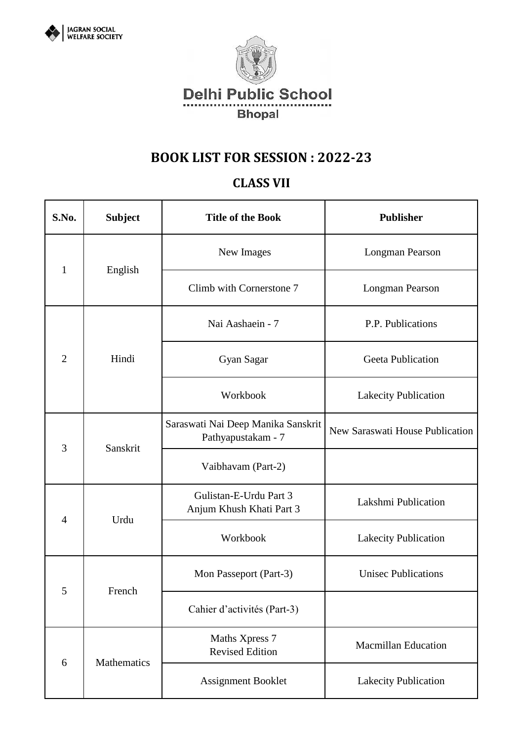



### **CLASS VII**

| S.No.          | <b>Subject</b> | <b>Title of the Book</b>                                 | <b>Publisher</b>                |
|----------------|----------------|----------------------------------------------------------|---------------------------------|
| $\mathbf{1}$   |                | New Images                                               | Longman Pearson                 |
|                | English        | Climb with Cornerstone 7                                 | Longman Pearson                 |
|                |                | Nai Aashaein - 7                                         | P.P. Publications               |
| $\overline{2}$ | Hindi          | Gyan Sagar                                               | <b>Geeta Publication</b>        |
|                |                | Workbook                                                 | <b>Lakecity Publication</b>     |
| 3              | Sanskrit       | Saraswati Nai Deep Manika Sanskrit<br>Pathyapustakam - 7 | New Saraswati House Publication |
|                |                | Vaibhavam (Part-2)                                       |                                 |
|                | Urdu           | Gulistan-E-Urdu Part 3<br>Anjum Khush Khati Part 3       | Lakshmi Publication             |
| $\overline{4}$ |                | Workbook                                                 | <b>Lakecity Publication</b>     |
| 5              | French         | Mon Passeport (Part-3)                                   | <b>Unisec Publications</b>      |
|                |                | Cahier d'activités (Part-3)                              |                                 |
| 6              |                | Maths Xpress 7<br><b>Revised Edition</b>                 | <b>Macmillan Education</b>      |
|                | Mathematics    | Assignment Booklet                                       | Lakecity Publication            |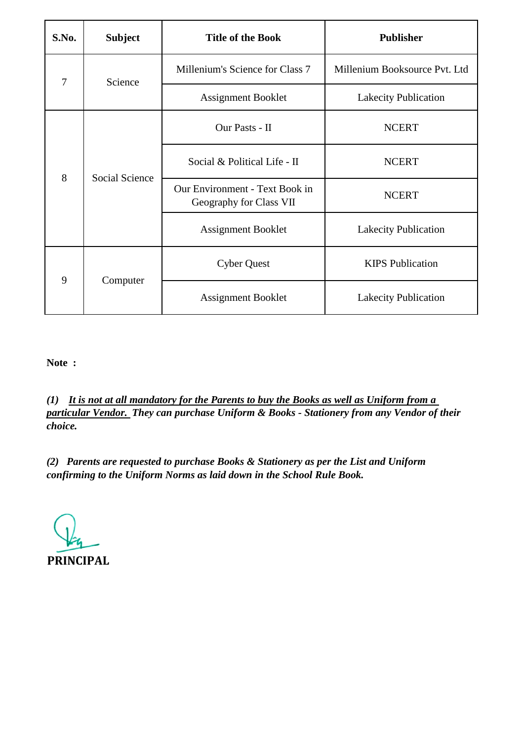| S.No.          | <b>Subject</b>        | <b>Title of the Book</b>                                  | <b>Publisher</b>              |
|----------------|-----------------------|-----------------------------------------------------------|-------------------------------|
| $\overline{7}$ | Science               | Millenium's Science for Class 7                           | Millenium Booksource Pvt. Ltd |
|                |                       | <b>Assignment Booklet</b>                                 | <b>Lakecity Publication</b>   |
|                | <b>Social Science</b> | Our Pasts - II                                            | <b>NCERT</b>                  |
| 8              |                       | Social & Political Life - II                              | <b>NCERT</b>                  |
|                |                       | Our Environment - Text Book in<br>Geography for Class VII | <b>NCERT</b>                  |
|                |                       | <b>Assignment Booklet</b>                                 | Lakecity Publication          |
| 9              | Computer              | <b>Cyber Quest</b>                                        | <b>KIPS</b> Publication       |
|                |                       | <b>Assignment Booklet</b>                                 | <b>Lakecity Publication</b>   |

*(1) It is not at all mandatory for the Parents to buy the Books as well as Uniform from a particular Vendor. They can purchase Uniform & Books - Stationery from any Vendor of their choice.*

**PRINCIPAL**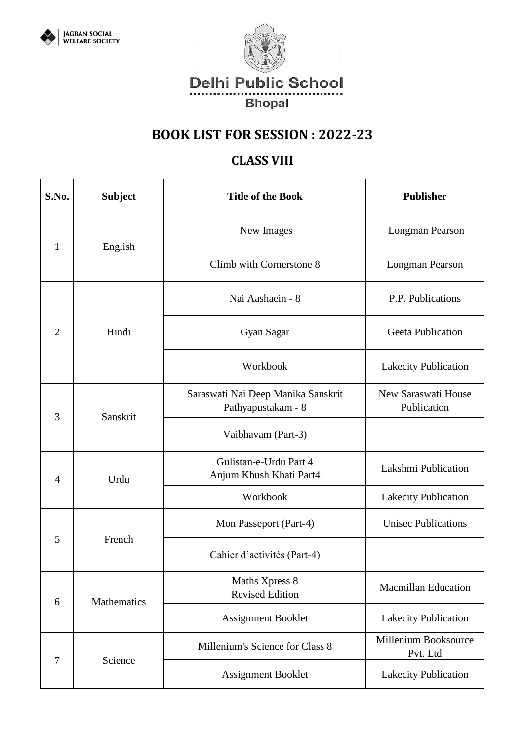



### **CLASS VIII**

| S.No.          | <b>Subject</b> | <b>Title of the Book</b>                                 | <b>Publisher</b>                   |
|----------------|----------------|----------------------------------------------------------|------------------------------------|
|                |                | New Images                                               | Longman Pearson                    |
| $\mathbf{1}$   | English        | Climb with Cornerstone 8                                 | Longman Pearson                    |
|                |                | Nai Aashaein - 8                                         | P.P. Publications                  |
| $\overline{2}$ | Hindi          | Gyan Sagar                                               | <b>Geeta Publication</b>           |
|                |                | Workbook                                                 | Lakecity Publication               |
| 3              | Sanskrit       | Saraswati Nai Deep Manika Sanskrit<br>Pathyapustakam - 8 | New Saraswati House<br>Publication |
|                |                | Vaibhavam (Part-3)                                       |                                    |
| $\overline{4}$ | Urdu           | Gulistan-e-Urdu Part 4<br>Anjum Khush Khati Part4        | Lakshmi Publication                |
|                |                | Workbook                                                 | Lakecity Publication               |
|                | French         | Mon Passeport (Part-4)                                   | <b>Unisec Publications</b>         |
| 5              |                | Cahier d'activités (Part-4)                              |                                    |
| 6              | Mathematics    | Maths Xpress 8<br><b>Revised Edition</b>                 | <b>Macmillan Education</b>         |
|                |                | <b>Assignment Booklet</b>                                | Lakecity Publication               |
|                |                | Millenium's Science for Class 8                          | Millenium Booksource<br>Pvt. Ltd   |
| 7              | Science        | <b>Assignment Booklet</b>                                | Lakecity Publication               |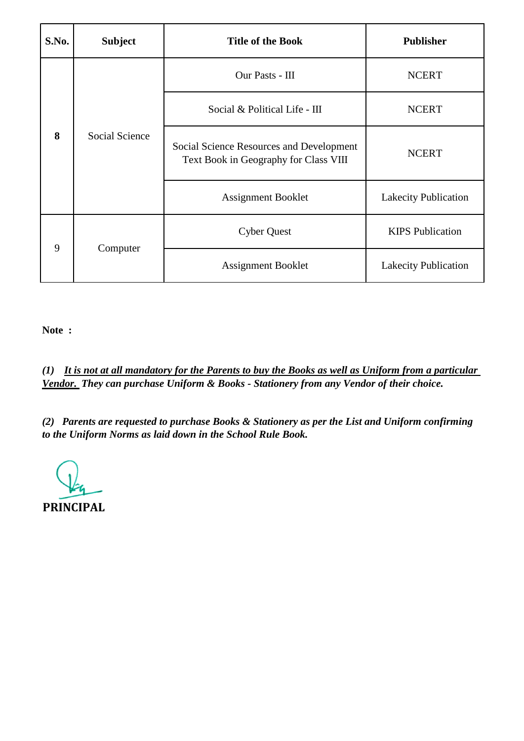| S.No. | <b>Subject</b> | <b>Title of the Book</b>                                                          | <b>Publisher</b>            |
|-------|----------------|-----------------------------------------------------------------------------------|-----------------------------|
|       | Social Science | Our Pasts - III                                                                   | <b>NCERT</b>                |
|       |                | Social & Political Life - III                                                     | <b>NCERT</b>                |
| 8     |                | Social Science Resources and Development<br>Text Book in Geography for Class VIII | <b>NCERT</b>                |
|       |                | <b>Assignment Booklet</b>                                                         | <b>Lakecity Publication</b> |
| 9     | Computer       | <b>Cyber Quest</b>                                                                | <b>KIPS</b> Publication     |
|       |                | <b>Assignment Booklet</b>                                                         | <b>Lakecity Publication</b> |

*(1) It is not at all mandatory for the Parents to buy the Books as well as Uniform from a particular Vendor. They can purchase Uniform & Books - Stationery from any Vendor of their choice.*

**PRINCIPAL**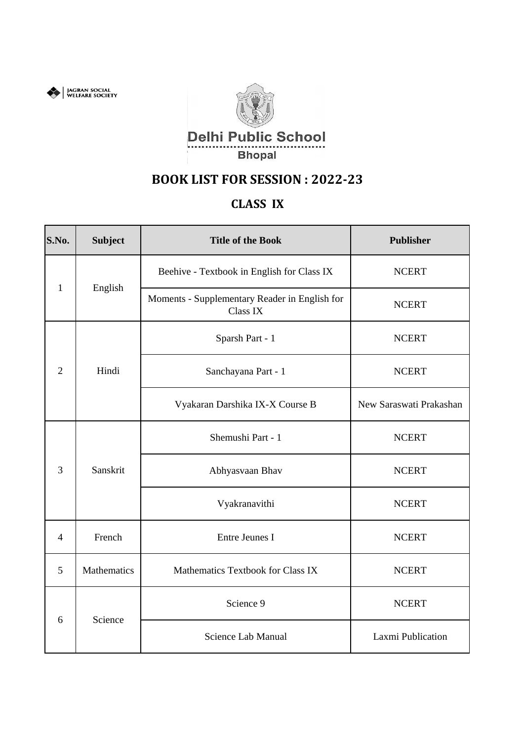



## **CLASS IX**

| S.No.          | <b>Subject</b>                                                                                                                                                                                                                                                                                            | <b>Title of the Book</b>          | <b>Publisher</b>        |
|----------------|-----------------------------------------------------------------------------------------------------------------------------------------------------------------------------------------------------------------------------------------------------------------------------------------------------------|-----------------------------------|-------------------------|
| $\mathbf{1}$   | Beehive - Textbook in English for Class IX<br>English<br>Moments - Supplementary Reader in English for<br>Class IX<br>Sparsh Part - 1<br>Hindi<br>Sanchayana Part - 1<br>Vyakaran Darshika IX-X Course B<br>Shemushi Part - 1<br>Sanskrit<br>Abhyasvaan Bhav<br>Vyakranavithi<br>French<br>Entre Jeunes I |                                   | <b>NCERT</b>            |
|                |                                                                                                                                                                                                                                                                                                           | <b>NCERT</b>                      |                         |
|                |                                                                                                                                                                                                                                                                                                           |                                   | <b>NCERT</b>            |
| $\overline{2}$ |                                                                                                                                                                                                                                                                                                           |                                   | <b>NCERT</b>            |
|                |                                                                                                                                                                                                                                                                                                           |                                   | New Saraswati Prakashan |
| $\overline{3}$ |                                                                                                                                                                                                                                                                                                           |                                   | <b>NCERT</b>            |
|                |                                                                                                                                                                                                                                                                                                           |                                   |                         |
|                |                                                                                                                                                                                                                                                                                                           |                                   | <b>NCERT</b>            |
| 4              |                                                                                                                                                                                                                                                                                                           |                                   | <b>NCERT</b>            |
| 5              | Mathematics                                                                                                                                                                                                                                                                                               | Mathematics Textbook for Class IX | <b>NCERT</b>            |
| 6              | Science                                                                                                                                                                                                                                                                                                   | Science 9                         | <b>NCERT</b>            |
|                |                                                                                                                                                                                                                                                                                                           | Science Lab Manual                | Laxmi Publication       |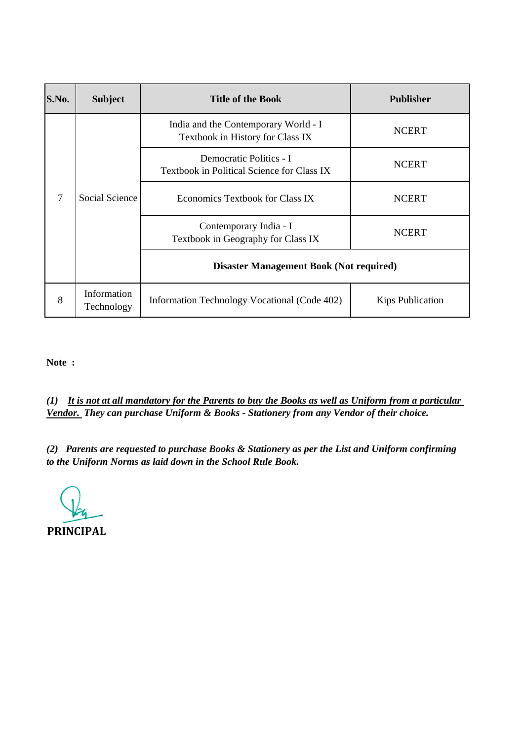| S.No.          | <b>Subject</b>            | <b>Title of the Book</b>                                                 | <b>Publisher</b>        |
|----------------|---------------------------|--------------------------------------------------------------------------|-------------------------|
| $\overline{7}$ | <b>Social Science</b>     | India and the Contemporary World - I<br>Textbook in History for Class IX | <b>NCERT</b>            |
|                |                           | Democratic Politics - I<br>Textbook in Political Science for Class IX    | <b>NCERT</b>            |
|                |                           | Economics Textbook for Class IX                                          | <b>NCERT</b>            |
|                |                           | Contemporary India - I<br>Textbook in Geography for Class IX             | <b>NCERT</b>            |
|                |                           | <b>Disaster Management Book (Not required)</b>                           |                         |
| 8              | Information<br>Technology | Information Technology Vocational (Code 402)                             | <b>Kips Publication</b> |

*(1) It is not at all mandatory for the Parents to buy the Books as well as Uniform from a particular Vendor. They can purchase Uniform & Books - Stationery from any Vendor of their choice.*

**PRINCIPAL**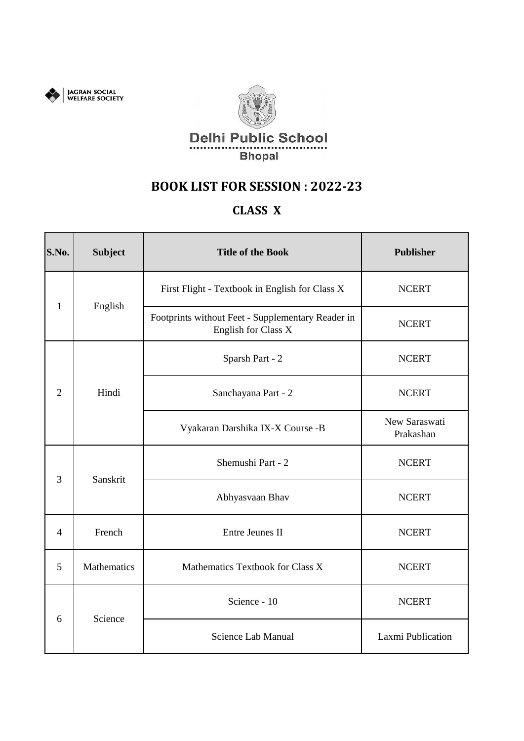



### **CLASS X**

| S.No.          | <b>Subject</b> | <b>Title of the Book</b>                                                 | <b>Publisher</b>           |
|----------------|----------------|--------------------------------------------------------------------------|----------------------------|
| $\mathbf{1}$   | English        | First Flight - Textbook in English for Class X                           | <b>NCERT</b>               |
|                |                | Footprints without Feet - Supplementary Reader in<br>English for Class X | <b>NCERT</b>               |
|                |                | Sparsh Part - 2                                                          | <b>NCERT</b>               |
| $\overline{2}$ | Hindi          | Sanchayana Part - 2                                                      | <b>NCERT</b>               |
|                |                | Vyakaran Darshika IX-X Course -B                                         | New Saraswati<br>Prakashan |
| 3              | Sanskrit       | Shemushi Part - 2                                                        | <b>NCERT</b>               |
|                |                | Abhyasvaan Bhav                                                          | <b>NCERT</b>               |
| 4              | French         | Entre Jeunes II                                                          | <b>NCERT</b>               |
| 5              | Mathematics    | Mathematics Textbook for Class X                                         | <b>NCERT</b>               |
|                |                | Science - 10                                                             | <b>NCERT</b>               |
| 6              | Science        | Science Lab Manual                                                       | Laxmi Publication          |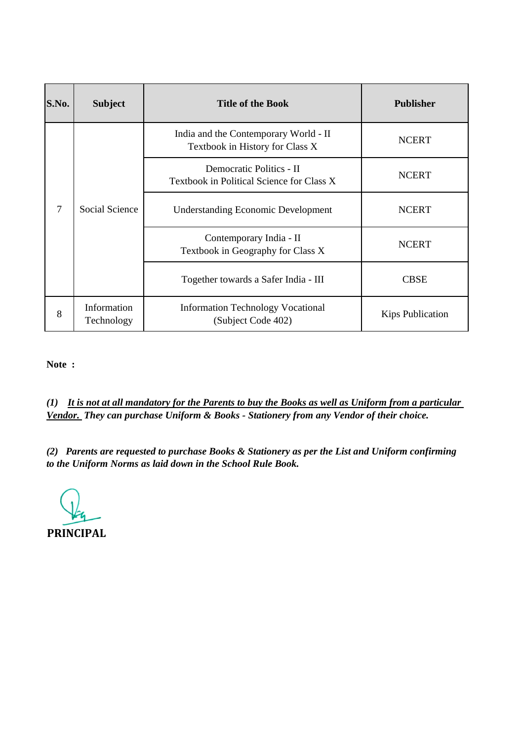| S.No. | <b>Subject</b>            | <b>Title of the Book</b>                                                 | <b>Publisher</b>        |
|-------|---------------------------|--------------------------------------------------------------------------|-------------------------|
| 7     | <b>Social Science</b>     | India and the Contemporary World - II<br>Textbook in History for Class X | <b>NCERT</b>            |
|       |                           | Democratic Politics - II<br>Textbook in Political Science for Class X    | <b>NCERT</b>            |
|       |                           | <b>Understanding Economic Development</b>                                | <b>NCERT</b>            |
|       |                           | Contemporary India - II<br>Textbook in Geography for Class X             | <b>NCERT</b>            |
|       |                           | Together towards a Safer India - III                                     | <b>CBSE</b>             |
| 8     | Information<br>Technology | <b>Information Technology Vocational</b><br>(Subject Code 402)           | <b>Kips Publication</b> |

*(1) It is not at all mandatory for the Parents to buy the Books as well as Uniform from a particular Vendor. They can purchase Uniform & Books - Stationery from any Vendor of their choice.*

**PRINCIPAL**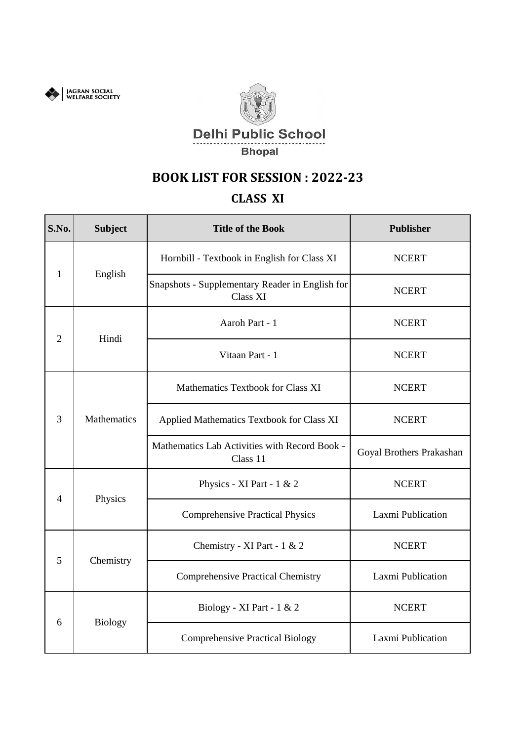



#### **CLASS XI**

| S.No. | <b>Subject</b>                                                                                                                                                                                                                                                                                                                                                                                                                                                                                                                                               | <b>Title of the Book</b>               | <b>Publisher</b>         |
|-------|--------------------------------------------------------------------------------------------------------------------------------------------------------------------------------------------------------------------------------------------------------------------------------------------------------------------------------------------------------------------------------------------------------------------------------------------------------------------------------------------------------------------------------------------------------------|----------------------------------------|--------------------------|
|       | Hornbill - Textbook in English for Class XI<br>English<br>Snapshots - Supplementary Reader in English for<br>Class XI<br>Aaroh Part - 1<br>Hindi<br>Vitaan Part - 1<br>Mathematics Textbook for Class XI<br>Mathematics<br>Applied Mathematics Textbook for Class XI<br>Mathematics Lab Activities with Record Book -<br>Class 11<br>Physics - XI Part - $1 & 2$<br>Physics<br><b>Comprehensive Practical Physics</b><br>Chemistry - XI Part - 1 & 2<br>Chemistry<br><b>Comprehensive Practical Chemistry</b><br>Biology - XI Part - 1 & 2<br><b>Biology</b> |                                        | <b>NCERT</b>             |
| 1     |                                                                                                                                                                                                                                                                                                                                                                                                                                                                                                                                                              | <b>NCERT</b>                           |                          |
| 2     |                                                                                                                                                                                                                                                                                                                                                                                                                                                                                                                                                              |                                        | <b>NCERT</b>             |
|       |                                                                                                                                                                                                                                                                                                                                                                                                                                                                                                                                                              |                                        | <b>NCERT</b>             |
|       |                                                                                                                                                                                                                                                                                                                                                                                                                                                                                                                                                              |                                        | <b>NCERT</b>             |
| 3     |                                                                                                                                                                                                                                                                                                                                                                                                                                                                                                                                                              |                                        | <b>NCERT</b>             |
|       |                                                                                                                                                                                                                                                                                                                                                                                                                                                                                                                                                              |                                        | Goyal Brothers Prakashan |
| 4     |                                                                                                                                                                                                                                                                                                                                                                                                                                                                                                                                                              |                                        | <b>NCERT</b>             |
|       |                                                                                                                                                                                                                                                                                                                                                                                                                                                                                                                                                              | <b>Comprehensive Practical Biology</b> | Laxmi Publication        |
|       |                                                                                                                                                                                                                                                                                                                                                                                                                                                                                                                                                              |                                        | <b>NCERT</b>             |
| 5     |                                                                                                                                                                                                                                                                                                                                                                                                                                                                                                                                                              |                                        | Laxmi Publication        |
| 6     |                                                                                                                                                                                                                                                                                                                                                                                                                                                                                                                                                              |                                        | <b>NCERT</b>             |
|       |                                                                                                                                                                                                                                                                                                                                                                                                                                                                                                                                                              |                                        | Laxmi Publication        |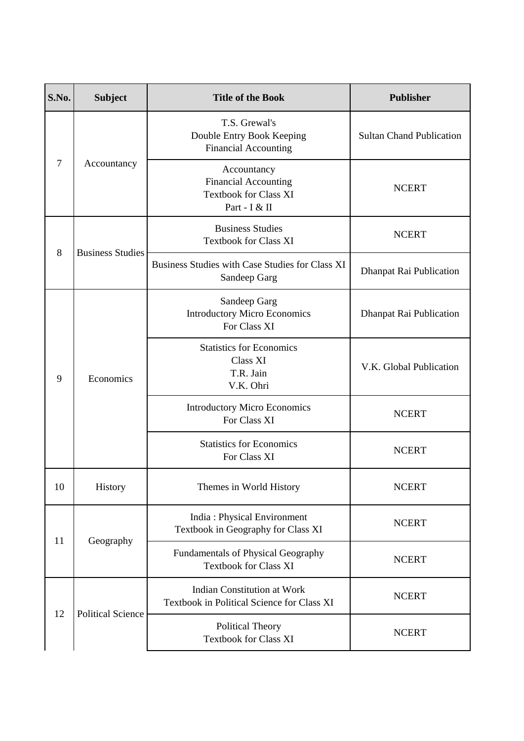| S.No.                                                                                                                                                                                                                                                                                                                                                                                                                                                                                                                                          | <b>Subject</b>           | <b>Title of the Book</b>                                                                                                                                                                                                                                                                                                                                                                                                              | <b>Publisher</b>                |
|------------------------------------------------------------------------------------------------------------------------------------------------------------------------------------------------------------------------------------------------------------------------------------------------------------------------------------------------------------------------------------------------------------------------------------------------------------------------------------------------------------------------------------------------|--------------------------|---------------------------------------------------------------------------------------------------------------------------------------------------------------------------------------------------------------------------------------------------------------------------------------------------------------------------------------------------------------------------------------------------------------------------------------|---------------------------------|
| T.S. Grewal's<br><b>Financial Accounting</b><br>7<br>Accountancy<br>Accountancy<br><b>Financial Accounting</b><br><b>Textbook for Class XI</b><br>Part - I & II<br><b>Business Studies</b><br><b>Textbook for Class XI</b><br><b>Business Studies</b><br>8<br>Sandeep Garg<br>Sandeep Garg<br>For Class XI<br><b>Statistics for Economics</b><br><b>Class XI</b><br>T.R. Jain<br>9<br>Economics<br>V.K. Ohri<br>For Class XI<br><b>Statistics for Economics</b><br>For Class XI<br>10<br>History<br>Themes in World History<br>11<br>Geography |                          | Double Entry Book Keeping                                                                                                                                                                                                                                                                                                                                                                                                             | <b>Sultan Chand Publication</b> |
|                                                                                                                                                                                                                                                                                                                                                                                                                                                                                                                                                |                          | <b>NCERT</b>                                                                                                                                                                                                                                                                                                                                                                                                                          |                                 |
|                                                                                                                                                                                                                                                                                                                                                                                                                                                                                                                                                |                          |                                                                                                                                                                                                                                                                                                                                                                                                                                       | <b>NCERT</b>                    |
|                                                                                                                                                                                                                                                                                                                                                                                                                                                                                                                                                |                          | Business Studies with Case Studies for Class XI<br><b>Introductory Micro Economics</b><br><b>Introductory Micro Economics</b><br><b>India: Physical Environment</b><br>Textbook in Geography for Class XI<br><b>Fundamentals of Physical Geography</b><br><b>Textbook for Class XI</b><br><b>Indian Constitution at Work</b><br>Textbook in Political Science for Class XI<br><b>Political Theory</b><br><b>Textbook for Class XI</b> | Dhanpat Rai Publication         |
|                                                                                                                                                                                                                                                                                                                                                                                                                                                                                                                                                |                          |                                                                                                                                                                                                                                                                                                                                                                                                                                       | Dhanpat Rai Publication         |
|                                                                                                                                                                                                                                                                                                                                                                                                                                                                                                                                                |                          |                                                                                                                                                                                                                                                                                                                                                                                                                                       | V.K. Global Publication         |
|                                                                                                                                                                                                                                                                                                                                                                                                                                                                                                                                                |                          |                                                                                                                                                                                                                                                                                                                                                                                                                                       | <b>NCERT</b>                    |
|                                                                                                                                                                                                                                                                                                                                                                                                                                                                                                                                                |                          |                                                                                                                                                                                                                                                                                                                                                                                                                                       | <b>NCERT</b>                    |
|                                                                                                                                                                                                                                                                                                                                                                                                                                                                                                                                                |                          |                                                                                                                                                                                                                                                                                                                                                                                                                                       | <b>NCERT</b>                    |
|                                                                                                                                                                                                                                                                                                                                                                                                                                                                                                                                                |                          |                                                                                                                                                                                                                                                                                                                                                                                                                                       | <b>NCERT</b>                    |
|                                                                                                                                                                                                                                                                                                                                                                                                                                                                                                                                                |                          |                                                                                                                                                                                                                                                                                                                                                                                                                                       | <b>NCERT</b>                    |
| 12                                                                                                                                                                                                                                                                                                                                                                                                                                                                                                                                             | <b>Political Science</b> |                                                                                                                                                                                                                                                                                                                                                                                                                                       | <b>NCERT</b>                    |
|                                                                                                                                                                                                                                                                                                                                                                                                                                                                                                                                                |                          |                                                                                                                                                                                                                                                                                                                                                                                                                                       | <b>NCERT</b>                    |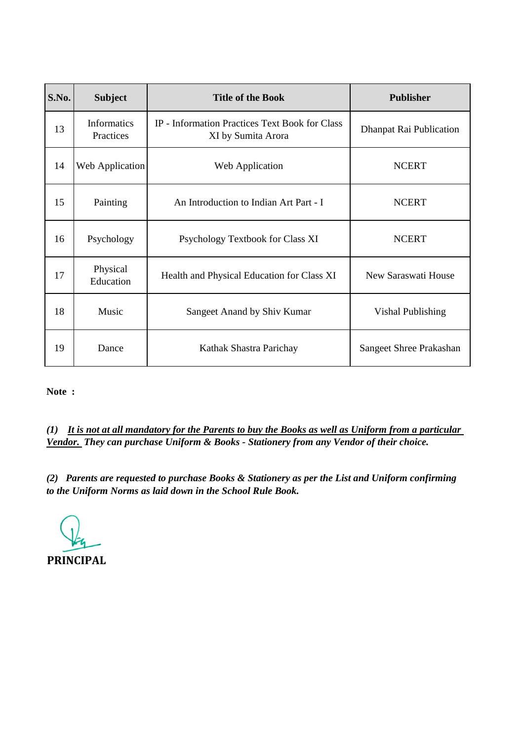| S.No. | <b>Subject</b>                  | <b>Title of the Book</b>                                             | <b>Publisher</b>        |
|-------|---------------------------------|----------------------------------------------------------------------|-------------------------|
| 13    | <b>Informatics</b><br>Practices | IP - Information Practices Text Book for Class<br>XI by Sumita Arora | Dhanpat Rai Publication |
| 14    | Web Application                 | Web Application                                                      | <b>NCERT</b>            |
| 15    | Painting                        | An Introduction to Indian Art Part - I                               | <b>NCERT</b>            |
| 16    | Psychology                      | Psychology Textbook for Class XI                                     | <b>NCERT</b>            |
| 17    | Physical<br>Education           | Health and Physical Education for Class XI                           | New Saraswati House     |
| 18    | Music                           | Sangeet Anand by Shiv Kumar                                          | Vishal Publishing       |
| 19    | Dance                           | Kathak Shastra Parichay                                              | Sangeet Shree Prakashan |

*(1) It is not at all mandatory for the Parents to buy the Books as well as Uniform from a particular Vendor. They can purchase Uniform & Books - Stationery from any Vendor of their choice.*

**PRINCIPAL**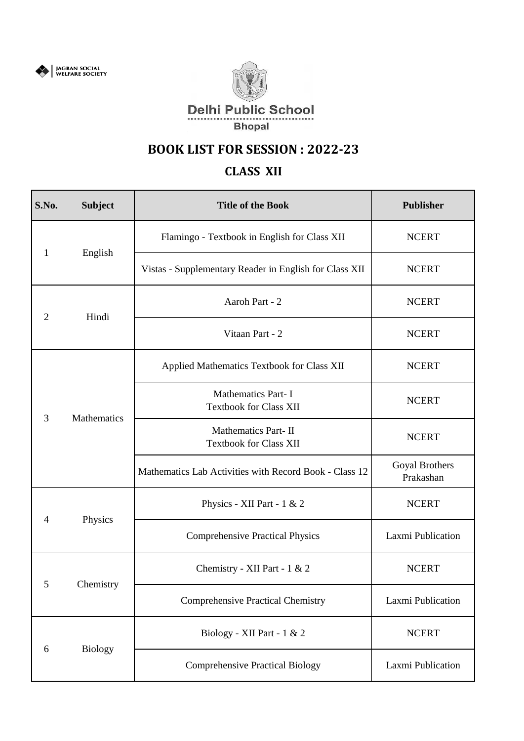



# **CLASS XII**

| S.No.          | <b>Subject</b> | <b>Title of the Book</b>                                   | Publisher                   |
|----------------|----------------|------------------------------------------------------------|-----------------------------|
|                |                | Flamingo - Textbook in English for Class XII               | <b>NCERT</b>                |
| 1              | English        | Vistas - Supplementary Reader in English for Class XII     | <b>NCERT</b>                |
|                |                | Aaroh Part - 2                                             | <b>NCERT</b>                |
| $\overline{2}$ | Hindi          | Vitaan Part - 2                                            | <b>NCERT</b>                |
|                |                | Applied Mathematics Textbook for Class XII                 | <b>NCERT</b>                |
|                | Mathematics    | <b>Mathematics Part-I</b><br><b>Textbook for Class XII</b> | <b>NCERT</b>                |
| 3              |                | Mathematics Part-II<br><b>Textbook for Class XII</b>       | <b>NCERT</b>                |
|                |                | Mathematics Lab Activities with Record Book - Class 12     | Goyal Brothers<br>Prakashan |
| $\overline{4}$ | Physics        | Physics - XII Part - $1 & 2$                               | <b>NCERT</b>                |
|                |                | <b>Comprehensive Practical Physics</b>                     | Laxmi Publication           |
|                | Chemistry      | Chemistry - XII Part - 1 & 2                               | <b>NCERT</b>                |
| 5              |                | <b>Comprehensive Practical Chemistry</b>                   | Laxmi Publication           |
|                |                | Biology - XII Part - 1 & 2                                 | <b>NCERT</b>                |
| 6              | <b>Biology</b> | <b>Comprehensive Practical Biology</b>                     | Laxmi Publication           |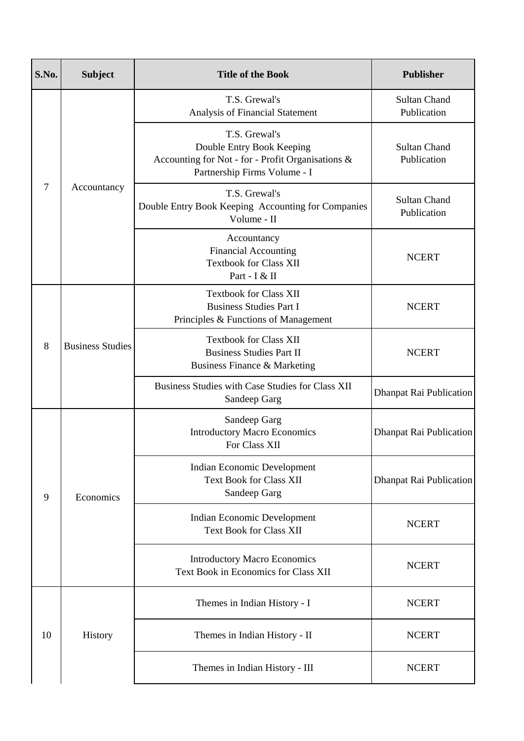| S.No. | <b>Subject</b>                                                                                                                                                                                                                                                                                                                                                                                                                                                                                                                                                                                                                                                                                                                                                                                                                                                                                                                                                                                                                                                                                                                             | <b>Title of the Book</b> | Publisher                          |
|-------|--------------------------------------------------------------------------------------------------------------------------------------------------------------------------------------------------------------------------------------------------------------------------------------------------------------------------------------------------------------------------------------------------------------------------------------------------------------------------------------------------------------------------------------------------------------------------------------------------------------------------------------------------------------------------------------------------------------------------------------------------------------------------------------------------------------------------------------------------------------------------------------------------------------------------------------------------------------------------------------------------------------------------------------------------------------------------------------------------------------------------------------------|--------------------------|------------------------------------|
|       | T.S. Grewal's<br>Analysis of Financial Statement<br>T.S. Grewal's<br>Double Entry Book Keeping<br>Accounting for Not - for - Profit Organisations &<br>Partnership Firms Volume - I<br>Accountancy<br>T.S. Grewal's<br>Double Entry Book Keeping Accounting for Companies<br>Volume - II<br>Accountancy<br><b>Financial Accounting</b><br><b>Textbook for Class XII</b><br>Part - I & II<br><b>Textbook for Class XII</b><br><b>Business Studies Part I</b><br>Principles & Functions of Management<br><b>Textbook for Class XII</b><br><b>Business Studies</b><br><b>Business Studies Part II</b><br>Business Finance & Marketing<br>Business Studies with Case Studies for Class XII<br>Sandeep Garg<br>Sandeep Garg<br><b>Introductory Macro Economics</b><br>For Class XII<br>Indian Economic Development<br><b>Text Book for Class XII</b><br>Sandeep Garg<br>Economics<br>Indian Economic Development<br><b>Text Book for Class XII</b><br><b>Introductory Macro Economics</b><br>Text Book in Economics for Class XII<br>Themes in Indian History - I<br>History<br>Themes in Indian History - II<br>Themes in Indian History - III |                          | <b>Sultan Chand</b><br>Publication |
|       |                                                                                                                                                                                                                                                                                                                                                                                                                                                                                                                                                                                                                                                                                                                                                                                                                                                                                                                                                                                                                                                                                                                                            |                          | <b>Sultan Chand</b><br>Publication |
| 7     |                                                                                                                                                                                                                                                                                                                                                                                                                                                                                                                                                                                                                                                                                                                                                                                                                                                                                                                                                                                                                                                                                                                                            |                          | <b>Sultan Chand</b><br>Publication |
|       |                                                                                                                                                                                                                                                                                                                                                                                                                                                                                                                                                                                                                                                                                                                                                                                                                                                                                                                                                                                                                                                                                                                                            | <b>NCERT</b>             |                                    |
| 8     |                                                                                                                                                                                                                                                                                                                                                                                                                                                                                                                                                                                                                                                                                                                                                                                                                                                                                                                                                                                                                                                                                                                                            |                          | <b>NCERT</b>                       |
|       |                                                                                                                                                                                                                                                                                                                                                                                                                                                                                                                                                                                                                                                                                                                                                                                                                                                                                                                                                                                                                                                                                                                                            |                          | <b>NCERT</b>                       |
|       |                                                                                                                                                                                                                                                                                                                                                                                                                                                                                                                                                                                                                                                                                                                                                                                                                                                                                                                                                                                                                                                                                                                                            |                          | Dhanpat Rai Publication            |
|       |                                                                                                                                                                                                                                                                                                                                                                                                                                                                                                                                                                                                                                                                                                                                                                                                                                                                                                                                                                                                                                                                                                                                            |                          | Dhanpat Rai Publication            |
| 9     |                                                                                                                                                                                                                                                                                                                                                                                                                                                                                                                                                                                                                                                                                                                                                                                                                                                                                                                                                                                                                                                                                                                                            |                          | Dhanpat Rai Publication            |
|       |                                                                                                                                                                                                                                                                                                                                                                                                                                                                                                                                                                                                                                                                                                                                                                                                                                                                                                                                                                                                                                                                                                                                            |                          | <b>NCERT</b>                       |
|       |                                                                                                                                                                                                                                                                                                                                                                                                                                                                                                                                                                                                                                                                                                                                                                                                                                                                                                                                                                                                                                                                                                                                            |                          | <b>NCERT</b>                       |
|       |                                                                                                                                                                                                                                                                                                                                                                                                                                                                                                                                                                                                                                                                                                                                                                                                                                                                                                                                                                                                                                                                                                                                            |                          | <b>NCERT</b>                       |
| 10    |                                                                                                                                                                                                                                                                                                                                                                                                                                                                                                                                                                                                                                                                                                                                                                                                                                                                                                                                                                                                                                                                                                                                            |                          | <b>NCERT</b>                       |
|       |                                                                                                                                                                                                                                                                                                                                                                                                                                                                                                                                                                                                                                                                                                                                                                                                                                                                                                                                                                                                                                                                                                                                            |                          | <b>NCERT</b>                       |